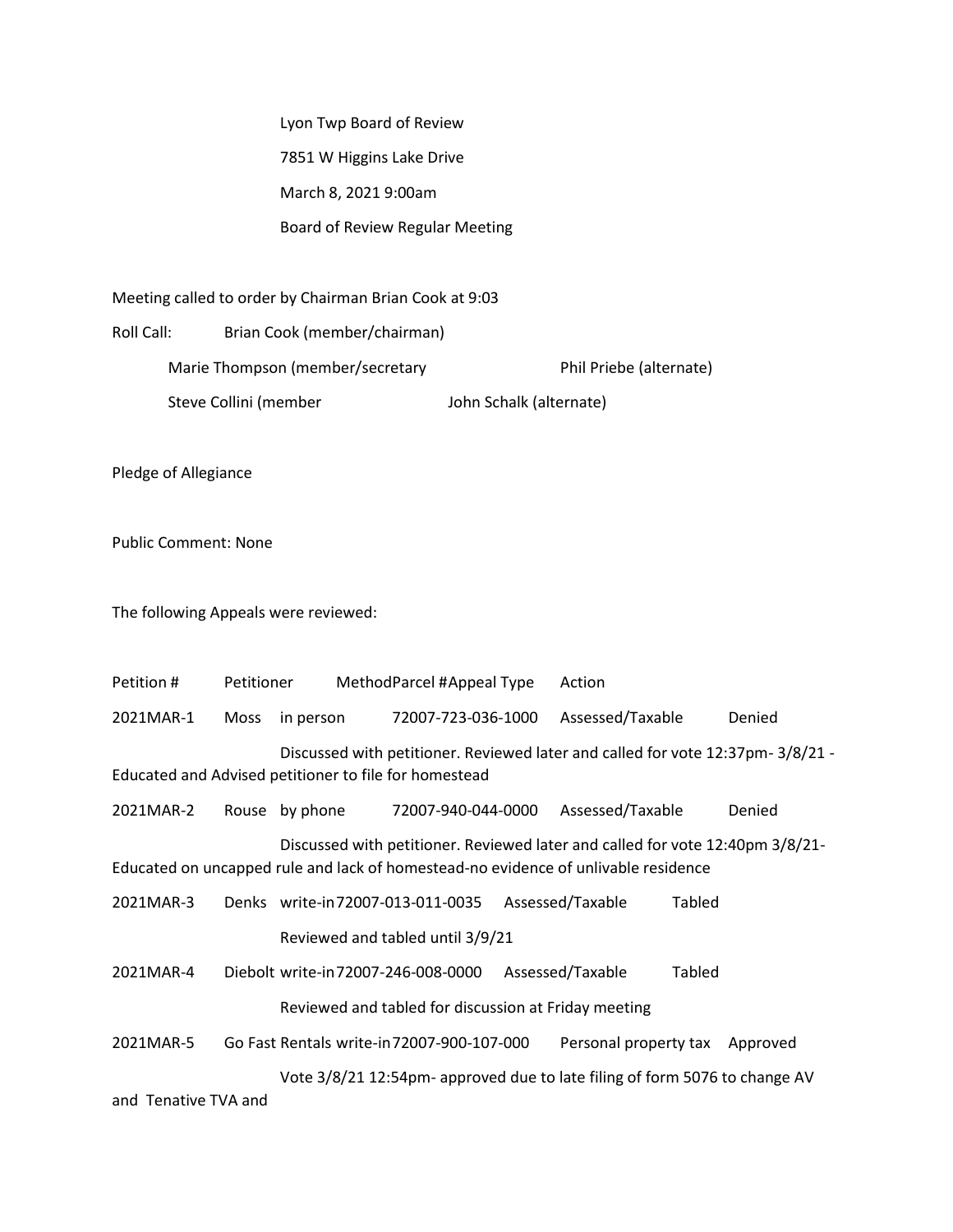Lyon Twp Board of Review 7851 W Higgins Lake Drive March 8, 2021 9:00am Board of Review Regular Meeting

Meeting called to order by Chairman Brian Cook at 9:03

Roll Call: Brian Cook (member/chairman) Marie Thompson (member/secretary Phil Priebe (alternate) Steve Collini (member John Schalk (alternate)

Pledge of Allegiance

Public Comment: None

The following Appeals were reviewed:

| Petition #                                                                                                                                                          | Petitioner |                                    | MethodParcel #Appeal Type                            |  | Action                |               |          |
|---------------------------------------------------------------------------------------------------------------------------------------------------------------------|------------|------------------------------------|------------------------------------------------------|--|-----------------------|---------------|----------|
| 2021MAR-1                                                                                                                                                           | Moss       | in person                          | 72007-723-036-1000                                   |  | Assessed/Taxable      |               | Denied   |
| Discussed with petitioner. Reviewed later and called for vote 12:37pm-3/8/21 -<br>Educated and Advised petitioner to file for homestead                             |            |                                    |                                                      |  |                       |               |          |
| 2021MAR-2                                                                                                                                                           |            | Rouse by phone                     | 72007-940-044-0000                                   |  | Assessed/Taxable      |               | Denied   |
| Discussed with petitioner. Reviewed later and called for vote 12:40pm 3/8/21-<br>Educated on uncapped rule and lack of homestead-no evidence of unlivable residence |            |                                    |                                                      |  |                       |               |          |
| 2021MAR-3                                                                                                                                                           |            | Denks write-in72007-013-011-0035   |                                                      |  | Assessed/Taxable      | Tabled        |          |
|                                                                                                                                                                     |            |                                    | Reviewed and tabled until 3/9/21                     |  |                       |               |          |
| 2021MAR-4                                                                                                                                                           |            | Diebolt write-in72007-246-008-0000 |                                                      |  | Assessed/Taxable      | <b>Tabled</b> |          |
|                                                                                                                                                                     |            |                                    | Reviewed and tabled for discussion at Friday meeting |  |                       |               |          |
| 2021MAR-5                                                                                                                                                           |            |                                    | Go Fast Rentals write-in 72007-900-107-000           |  | Personal property tax |               | Approved |
| Vote 3/8/21 12:54pm- approved due to late filing of form 5076 to change AV<br>and Tanglics TVA and                                                                  |            |                                    |                                                      |  |                       |               |          |

and Tenative TVA and